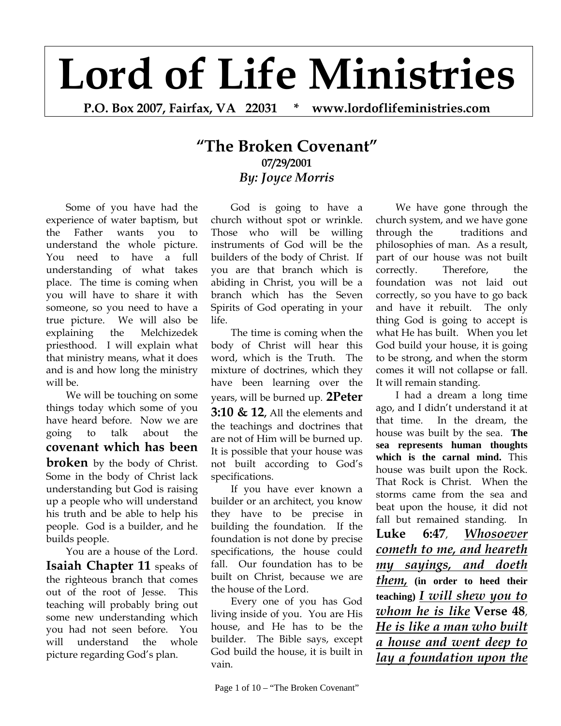## **Lord of Life Ministries**

**P.O. Box 2007, Fairfax, VA 22031 \* www.lordoflifeministries.com** 

## **"The Broken Covenant" 07/29/2001** *By: Joyce Morris*

Some of you have had the experience of water baptism, but the Father wants you to understand the whole picture. You need to have a full understanding of what takes place. The time is coming when you will have to share it with someone, so you need to have a true picture. We will also be explaining the Melchizedek priesthood. I will explain what that ministry means, what it does and is and how long the ministry will be.

We will be touching on some things today which some of you have heard before. Now we are going to talk about the **covenant which has been broken** by the body of Christ. Some in the body of Christ lack understanding but God is raising up a people who will understand his truth and be able to help his people. God is a builder, and he builds people.

You are a house of the Lord. **Isaiah Chapter 11** speaks of the righteous branch that comes out of the root of Jesse. This teaching will probably bring out some new understanding which you had not seen before. You will understand the whole picture regarding God's plan.

God is going to have a church without spot or wrinkle. Those who will be willing instruments of God will be the builders of the body of Christ. If you are that branch which is abiding in Christ, you will be a branch which has the Seven Spirits of God operating in your life.

The time is coming when the body of Christ will hear this word, which is the Truth. The mixture of doctrines, which they have been learning over the years, will be burned up. **2Peter 3:10 & 12,** All the elements and the teachings and doctrines that are not of Him will be burned up. It is possible that your house was not built according to God's specifications.

If you have ever known a builder or an architect, you know they have to be precise in building the foundation. If the foundation is not done by precise specifications, the house could fall. Our foundation has to be built on Christ, because we are the house of the Lord.

Every one of you has God living inside of you. You are His house, and He has to be the builder. The Bible says, except God build the house, it is built in vain.

We have gone through the church system, and we have gone through the traditions and philosophies of man. As a result, part of our house was not built correctly. Therefore, the foundation was not laid out correctly, so you have to go back and have it rebuilt. The only thing God is going to accept is what He has built. When you let God build your house, it is going to be strong, and when the storm comes it will not collapse or fall. It will remain standing.

I had a dream a long time ago, and I didn't understand it at that time. In the dream, the house was built by the sea. **The sea represents human thoughts which is the carnal mind.** This house was built upon the Rock. That Rock is Christ. When the storms came from the sea and beat upon the house, it did not fall but remained standing. In **Luke 6:47**, *Whosoever cometh to me, and heareth my sayings, and doeth them,* **(in order to heed their teaching)** *I will shew you to whom he is like* **Verse 48**, *He is like a man who built a house and went deep to lay a foundation upon the*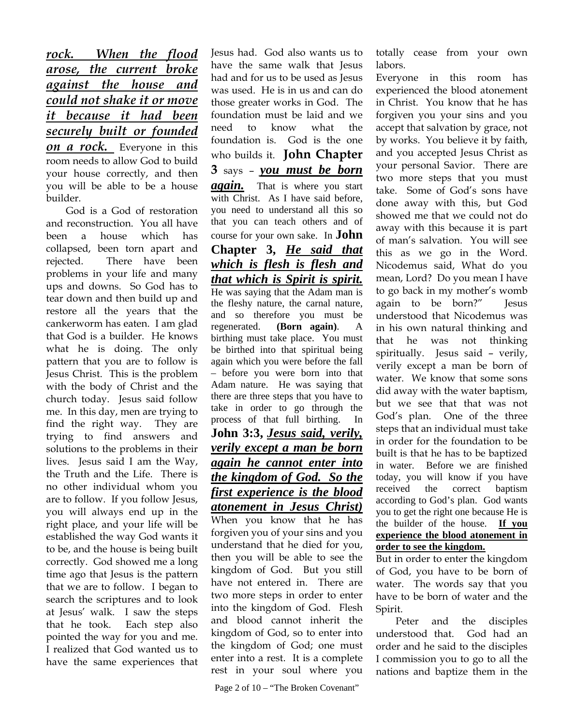*rock. When the flood arose, the current broke against the house and could not shake it or move it because it had been securely built or founded on a rock.* Everyone in this room needs to allow God to build your house correctly, and then you will be able to be a house builder.

God is a God of restoration and reconstruction. You all have been a house which has collapsed, been torn apart and rejected. There have been problems in your life and many ups and downs. So God has to tear down and then build up and restore all the years that the cankerworm has eaten. I am glad that God is a builder. He knows what he is doing. The only pattern that you are to follow is Jesus Christ. This is the problem with the body of Christ and the church today. Jesus said follow me. In this day, men are trying to find the right way. They are trying to find answers and solutions to the problems in their lives. Jesus said I am the Way, the Truth and the Life. There is no other individual whom you are to follow. If you follow Jesus, you will always end up in the right place, and your life will be established the way God wants it to be, and the house is being built correctly. God showed me a long time ago that Jesus is the pattern that we are to follow. I began to search the scriptures and to look at Jesus' walk. I saw the steps that he took. Each step also pointed the way for you and me. I realized that God wanted us to have the same experiences that

Jesus had. God also wants us to have the same walk that Jesus had and for us to be used as Jesus was used. He is in us and can do those greater works in God. The foundation must be laid and we need to know what the foundation is. God is the one who builds it. **John Chapter 3** says – *you must be born again.* That is where you start with Christ. As I have said before, you need to understand all this so that you can teach others and of course for your own sake. In **John Chapter 3,** *He said that which is flesh is flesh and that which is Spirit is spirit.*  He was saying that the Adam man is the fleshy nature, the carnal nature, and so therefore you must be regenerated. **(Born again)**. A birthing must take place. You must be birthed into that spiritual being again which you were before the fall – before you were born into that Adam nature. He was saying that there are three steps that you have to take in order to go through the process of that full birthing. In **John 3:3,** *Jesus said, verily, verily except a man be born again he cannot enter into the kingdom of God. So the first experience is the blood atonement in Jesus Christ)* When you know that he has forgiven you of your sins and you understand that he died for you, then you will be able to see the kingdom of God. But you still have not entered in. There are two more steps in order to enter into the kingdom of God. Flesh and blood cannot inherit the kingdom of God, so to enter into the kingdom of God; one must enter into a rest. It is a complete rest in your soul where you

totally cease from your own labors.

Everyone in this room has experienced the blood atonement in Christ. You know that he has forgiven you your sins and you accept that salvation by grace, not by works. You believe it by faith, and you accepted Jesus Christ as your personal Savior. There are two more steps that you must take. Some of God's sons have done away with this, but God showed me that we could not do away with this because it is part of man's salvation. You will see this as we go in the Word. Nicodemus said, What do you mean, Lord? Do you mean I have to go back in my mother's womb again to be born?" Jesus understood that Nicodemus was in his own natural thinking and that he was not thinking spiritually. Jesus said – verily, verily except a man be born of water. We know that some sons did away with the water baptism, but we see that that was not God's plan. One of the three steps that an individual must take in order for the foundation to be built is that he has to be baptized in water. Before we are finished today, you will know if you have received the correct baptism according to God's plan. God wants you to get the right one because He is the builder of the house. **If you experience the blood atonement in order to see the kingdom.**

But in order to enter the kingdom of God, you have to be born of water. The words say that you have to be born of water and the Spirit.

 Peter and the disciples understood that. God had an order and he said to the disciples I commission you to go to all the nations and baptize them in the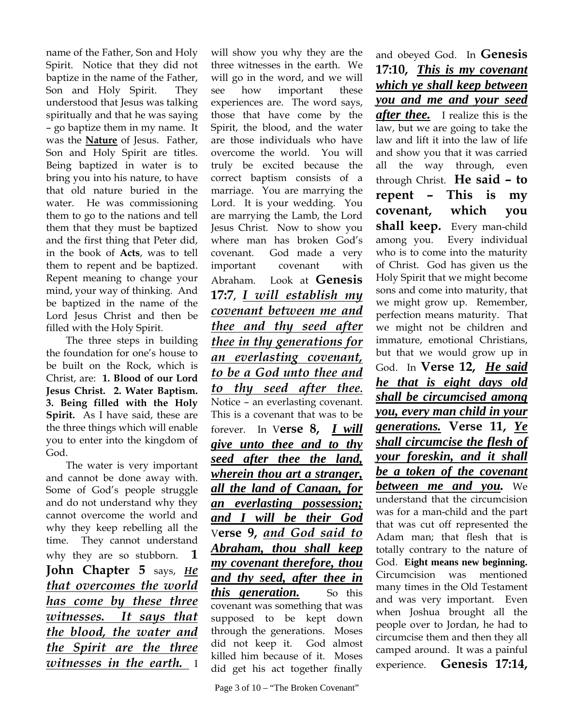name of the Father, Son and Holy Spirit. Notice that they did not baptize in the name of the Father, Son and Holy Spirit. They understood that Jesus was talking spiritually and that he was saying – go baptize them in my name. It was the **Nature** of Jesus. Father, Son and Holy Spirit are titles. Being baptized in water is to bring you into his nature, to have that old nature buried in the water. He was commissioning them to go to the nations and tell them that they must be baptized and the first thing that Peter did, in the book of **Acts**, was to tell them to repent and be baptized. Repent meaning to change your mind, your way of thinking. And be baptized in the name of the Lord Jesus Christ and then be filled with the Holy Spirit.

The three steps in building the foundation for one's house to be built on the Rock, which is Christ, are: **1. Blood of our Lord Jesus Christ. 2. Water Baptism. 3. Being filled with the Holy Spirit.** As I have said, these are the three things which will enable you to enter into the kingdom of God.

The water is very important and cannot be done away with. Some of God's people struggle and do not understand why they cannot overcome the world and why they keep rebelling all the time. They cannot understand why they are so stubborn. **1 John Chapter 5** says, *He that overcomes the world has come by these three witnesses. It says that the blood, the water and the Spirit are the three witnesses in the earth.* I

will show you why they are the three witnesses in the earth. We will go in the word, and we will see how important these experiences are. The word says, those that have come by the Spirit, the blood, and the water are those individuals who have overcome the world. You will truly be excited because the correct baptism consists of a marriage. You are marrying the Lord. It is your wedding. You are marrying the Lamb, the Lord Jesus Christ. Now to show you where man has broken God's covenant. God made a very important covenant with Abraham. Look at **Genesis 17:7,** *I will establish my covenant between me and thee and thy seed after thee in thy generations for an everlasting covenant, to be a God unto thee and to thy seed after thee***.** Notice – an everlasting covenant. This is a covenant that was to be forever. In V**erse 8,** *I will give unto thee and to thy seed after thee the land, wherein thou art a stranger, all the land of Canaan, for an everlasting possession; and I will be their God* V**erse 9,** *and God said to Abraham, thou shall keep my covenant therefore, thou and thy seed, after thee in this generation.* So this covenant was something that was supposed to be kept down through the generations. Moses did not keep it. God almost killed him because of it. Moses did get his act together finally

and obeyed God. In **Genesis 17:10,** *This is my covenant which ye shall keep between you and me and your seed after thee.* I realize this is the law, but we are going to take the law and lift it into the law of life and show you that it was carried all the way through, even through Christ. **He said – to repent – This is my covenant, which you shall keep.** Every man-child among you. Every individual who is to come into the maturity of Christ. God has given us the Holy Spirit that we might become sons and come into maturity, that we might grow up. Remember, perfection means maturity. That we might not be children and immature, emotional Christians, but that we would grow up in God. In **Verse 12,** *He said he that is eight days old shall be circumcised among you, every man child in your generations.* **Verse 11,** *Ye shall circumcise the flesh of your foreskin, and it shall be a token of the covenant between me and you.* We understand that the circumcision was for a man-child and the part that was cut off represented the Adam man; that flesh that is totally contrary to the nature of God. **Eight means new beginning.**  Circumcision was mentioned many times in the Old Testament and was very important. Even when Joshua brought all the people over to Jordan, he had to circumcise them and then they all camped around. It was a painful experience. **Genesis 17:14,**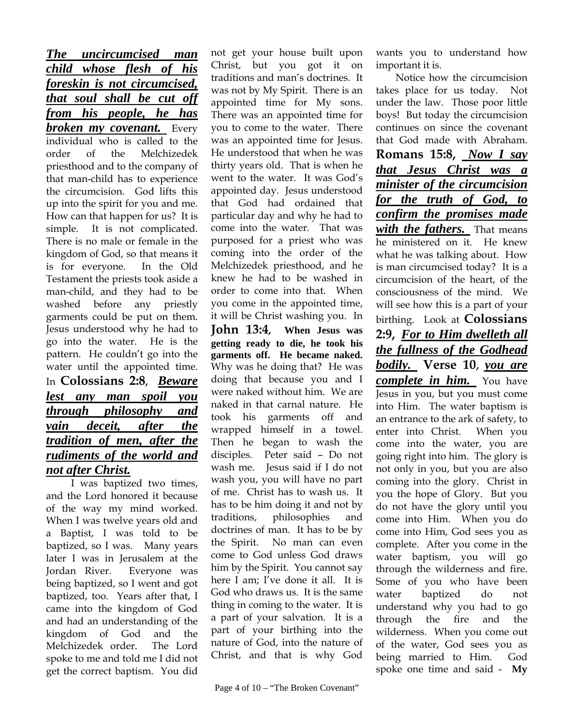*The uncircumcised man child whose flesh of his foreskin is not circumcised, that soul shall be cut off from his people, he has broken my covenant.* Every individual who is called to the order of the Melchizedek priesthood and to the company of that man-child has to experience the circumcision. God lifts this up into the spirit for you and me. How can that happen for us? It is simple. It is not complicated. There is no male or female in the kingdom of God, so that means it is for everyone. In the Old Testament the priests took aside a man-child, and they had to be washed before any priestly garments could be put on them. Jesus understood why he had to go into the water. He is the pattern. He couldn't go into the water until the appointed time. In **Colossians 2:8,** *Beware lest any man spoil you through philosophy and vain deceit, after the tradition of men, after the rudiments of the world and not after Christ.* 

I was baptized two times, and the Lord honored it because of the way my mind worked. When I was twelve years old and a Baptist, I was told to be baptized, so I was. Many years later I was in Jerusalem at the Jordan River. Everyone was being baptized, so I went and got baptized, too. Years after that, I came into the kingdom of God and had an understanding of the kingdom of God and the Melchizedek order. The Lord spoke to me and told me I did not get the correct baptism. You did

not get your house built upon Christ, but you got it on traditions and man's doctrines. It was not by My Spirit. There is an appointed time for My sons. There was an appointed time for you to come to the water. There was an appointed time for Jesus. He understood that when he was thirty years old. That is when he went to the water. It was God's appointed day. Jesus understood that God had ordained that particular day and why he had to come into the water. That was purposed for a priest who was coming into the order of the Melchizedek priesthood, and he knew he had to be washed in order to come into that. When you come in the appointed time, it will be Christ washing you. In

**John 13:4, When Jesus was getting ready to die, he took his garments off. He became naked.**  Why was he doing that? He was doing that because you and I were naked without him. We are naked in that carnal nature. He took his garments off and wrapped himself in a towel. Then he began to wash the disciples. Peter said – Do not wash me. Jesus said if I do not wash you, you will have no part of me. Christ has to wash us. It has to be him doing it and not by traditions, philosophies and doctrines of man. It has to be by the Spirit. No man can even come to God unless God draws him by the Spirit. You cannot say here I am; I've done it all. It is God who draws us. It is the same thing in coming to the water. It is a part of your salvation. It is a part of your birthing into the nature of God, into the nature of Christ, and that is why God

wants you to understand how important it is.

Notice how the circumcision takes place for us today. Not under the law. Those poor little boys! But today the circumcision continues on since the covenant that God made with Abraham. **Romans 15:8,** *Now I say that Jesus Christ was a minister of the circumcision for the truth of God, to confirm the promises made with the fathers.* That means he ministered on it. He knew what he was talking about. How is man circumcised today? It is a circumcision of the heart, of the consciousness of the mind. We will see how this is a part of your birthing. Look at **Colossians 2:9,** *For to Him dwelleth all the fullness of the Godhead bodily.* **Verse 10**, *you are complete in him.* You have Jesus in you, but you must come into Him. The water baptism is an entrance to the ark of safety, to enter into Christ. When you come into the water, you are going right into him. The glory is not only in you, but you are also coming into the glory. Christ in you the hope of Glory. But you do not have the glory until you come into Him. When you do come into Him, God sees you as complete. After you come in the water baptism, you will go through the wilderness and fire. Some of you who have been water baptized do not understand why you had to go through the fire and the wilderness. When you come out of the water, God sees you as being married to Him. God spoke one time and said - **My**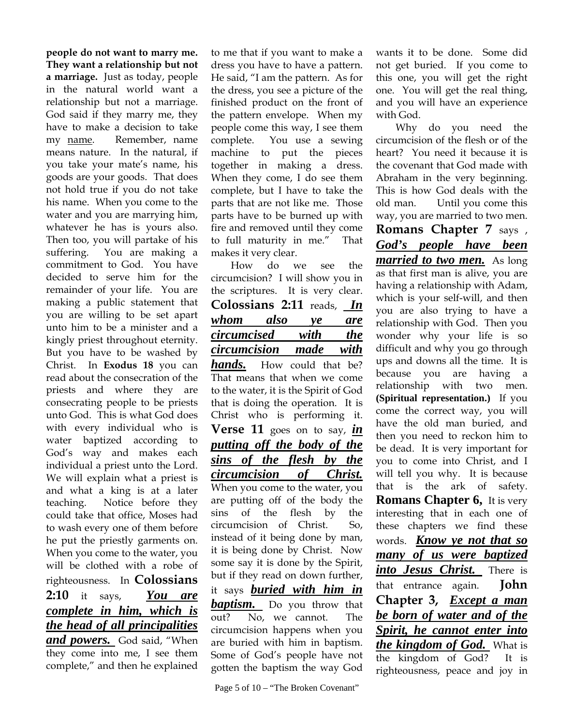**people do not want to marry me. They want a relationship but not a marriage.** Just as today, people in the natural world want a relationship but not a marriage. God said if they marry me, they have to make a decision to take my name. Remember, name means nature. In the natural, if you take your mate's name, his goods are your goods. That does not hold true if you do not take his name. When you come to the water and you are marrying him, whatever he has is yours also. Then too, you will partake of his suffering. You are making a commitment to God. You have decided to serve him for the remainder of your life. You are making a public statement that you are willing to be set apart unto him to be a minister and a kingly priest throughout eternity. But you have to be washed by Christ. In **Exodus 18** you can read about the consecration of the priests and where they are consecrating people to be priests unto God. This is what God does with every individual who is water baptized according to God's way and makes each individual a priest unto the Lord. We will explain what a priest is and what a king is at a later teaching. Notice before they could take that office, Moses had to wash every one of them before he put the priestly garments on. When you come to the water, you will be clothed with a robe of righteousness. In **Colossians 2:10** it says, *You are complete in him, which is the head of all principalities*  and powers. God said, "When they come into me, I see them complete," and then he explained

to me that if you want to make a dress you have to have a pattern. He said, "I am the pattern. As for the dress, you see a picture of the finished product on the front of the pattern envelope. When my people come this way, I see them complete. You use a sewing machine to put the pieces together in making a dress. When they come, I do see them complete, but I have to take the parts that are not like me. Those parts have to be burned up with fire and removed until they come to full maturity in me." That makes it very clear.

How do we see the circumcision? I will show you in the scriptures. It is very clear. **Colossians 2:11** reads, *In whom also ye are circumcised with the circumcision made with hands.* How could that be? That means that when we come to the water, it is the Spirit of God that is doing the operation. It is Christ who is performing it. **Verse 11** goes on to say, *in putting off the body of the sins of the flesh by the circumcision of Christ.* When you come to the water, you are putting off of the body the sins of the flesh by the circumcision of Christ. So, instead of it being done by man, it is being done by Christ. Now some say it is done by the Spirit, but if they read on down further, it says *buried with him in baptism.* Do you throw that out? No, we cannot. The circumcision happens when you are buried with him in baptism. Some of God's people have not

gotten the baptism the way God

wants it to be done. Some did not get buried. If you come to this one, you will get the right one. You will get the real thing, and you will have an experience with God.

Why do you need the circumcision of the flesh or of the heart? You need it because it is the covenant that God made with Abraham in the very beginning. This is how God deals with the old man. Until you come this way, you are married to two men. **Romans Chapter 7** says , *God's people have been married to two men.*As long as that first man is alive, you are having a relationship with Adam, which is your self-will, and then you are also trying to have a relationship with God. Then you wonder why your life is so difficult and why you go through ups and downs all the time. It is because you are having a relationship with two men. **(Spiritual representation.)** If you come the correct way, you will have the old man buried, and then you need to reckon him to be dead. It is very important for you to come into Christ, and I will tell you why. It is because that is the ark of safety. **Romans Chapter 6,** It is very interesting that in each one of these chapters we find these words. *Know ye not that so many of us were baptized into Jesus Christ.* There is that entrance again. **John Chapter 3,** *Except a man be born of water and of the Spirit, he cannot enter into the kingdom of God.* What is the kingdom of God? It is righteousness, peace and joy in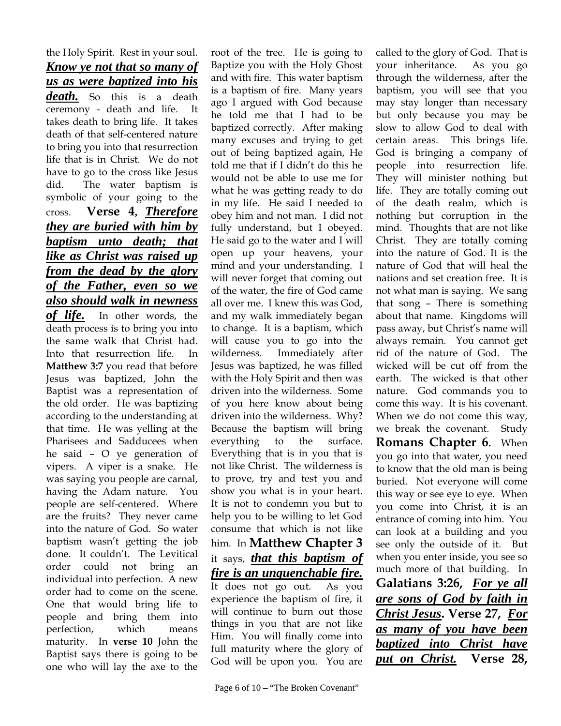the Holy Spirit. Rest in your soul. *Know ye not that so many of us as were baptized into his death.* So this is a death ceremony - death and life. It takes death to bring life. It takes death of that self-centered nature to bring you into that resurrection life that is in Christ. We do not have to go to the cross like Jesus did. The water baptism is symbolic of your going to the cross. **Verse 4,** *Therefore they are buried with him by baptism unto death; that like as Christ was raised up from the dead by the glory of the Father, even so we also should walk in newness of life.*In other words, the death process is to bring you into the same walk that Christ had. Into that resurrection life. In **Matthew 3:7** you read that before Jesus was baptized, John the Baptist was a representation of the old order. He was baptizing according to the understanding at that time. He was yelling at the Pharisees and Sadducees when he said – O ye generation of vipers. A viper is a snake. He was saying you people are carnal, having the Adam nature. You people are self-centered. Where are the fruits? They never came into the nature of God. So water baptism wasn't getting the job done. It couldn't. The Levitical order could not bring an individual into perfection. A new order had to come on the scene. One that would bring life to people and bring them into perfection, which means maturity. In **verse 10** John the Baptist says there is going to be one who will lay the axe to the

root of the tree. He is going to Baptize you with the Holy Ghost and with fire. This water baptism is a baptism of fire. Many years ago I argued with God because he told me that I had to be baptized correctly. After making many excuses and trying to get out of being baptized again, He told me that if I didn't do this he would not be able to use me for what he was getting ready to do in my life. He said I needed to obey him and not man. I did not fully understand, but I obeyed. He said go to the water and I will open up your heavens, your mind and your understanding. I will never forget that coming out of the water, the fire of God came all over me. I knew this was God, and my walk immediately began to change. It is a baptism, which will cause you to go into the wilderness. Immediately after Jesus was baptized, he was filled with the Holy Spirit and then was driven into the wilderness. Some of you here know about being driven into the wilderness. Why? Because the baptism will bring everything to the surface. Everything that is in you that is not like Christ. The wilderness is to prove, try and test you and show you what is in your heart. It is not to condemn you but to help you to be willing to let God consume that which is not like him. In **Matthew Chapter 3** it says, *that this baptism of fire is an unquenchable fire.* It does not go out. As you experience the baptism of fire, it will continue to burn out those things in you that are not like Him. You will finally come into full maturity where the glory of God will be upon you. You are

called to the glory of God. That is your inheritance. As you go through the wilderness, after the baptism, you will see that you may stay longer than necessary but only because you may be slow to allow God to deal with certain areas. This brings life. God is bringing a company of people into resurrection life. They will minister nothing but life. They are totally coming out of the death realm, which is nothing but corruption in the mind. Thoughts that are not like Christ. They are totally coming into the nature of God. It is the nature of God that will heal the nations and set creation free. It is not what man is saying. We sang that song – There is something about that name. Kingdoms will pass away, but Christ's name will always remain. You cannot get rid of the nature of God. The wicked will be cut off from the earth. The wicked is that other nature. God commands you to come this way. It is his covenant. When we do not come this way, we break the covenant. Study **Romans Chapter 6.** When you go into that water, you need to know that the old man is being buried. Not everyone will come this way or see eye to eye. When you come into Christ, it is an entrance of coming into him. You can look at a building and you see only the outside of it. But when you enter inside, you see so much more of that building. In **Galatians 3:26,** *For ye all are sons of God by faith in Christ Jesus***. Verse 27,** *For as many of you have been baptized into Christ have put on Christ.* **Verse 28,**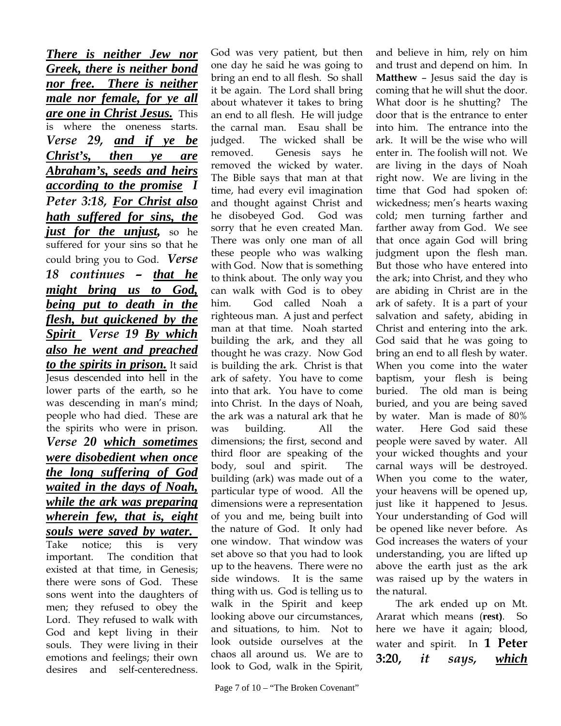*There is neither Jew nor Greek, there is neither bond nor free. There is neither male nor female, for ye all are one in Christ Jesus.* This is where the oneness starts. *Verse 29, and if ye be Christ's, then ye are Abraham's, seeds and heirs according to the promise I Peter 3:18, For Christ also hath suffered for sins, the just for the unjust,* so he suffered for your sins so that he could bring you to God.*Verse 18 continues – that he might bring us to God, being put to death in the flesh, but quickened by the Spirit Verse 19 By which also he went and preached to the spirits in prison.* It said Jesus descended into hell in the lower parts of the earth, so he was descending in man's mind; people who had died. These are the spirits who were in prison. *Verse 20 which sometimes were disobedient when once the long suffering of God waited in the days of Noah, while the ark was preparing wherein few, that is, eight souls were saved by water.*  Take notice; this is very important. The condition that existed at that time, in Genesis; there were sons of God. These sons went into the daughters of men; they refused to obey the Lord. They refused to walk with God and kept living in their souls. They were living in their emotions and feelings; their own desires and self-centeredness.

God was very patient, but then one day he said he was going to bring an end to all flesh. So shall it be again. The Lord shall bring about whatever it takes to bring an end to all flesh. He will judge the carnal man. Esau shall be judged. The wicked shall be removed. Genesis says he removed the wicked by water. The Bible says that man at that time, had every evil imagination and thought against Christ and he disobeyed God. God was sorry that he even created Man. There was only one man of all these people who was walking with God. Now that is something to think about. The only way you can walk with God is to obey him. God called Noah a righteous man. A just and perfect man at that time. Noah started building the ark, and they all thought he was crazy. Now God is building the ark. Christ is that ark of safety. You have to come into that ark. You have to come into Christ. In the days of Noah, the ark was a natural ark that he was building. All the dimensions; the first, second and third floor are speaking of the body, soul and spirit. The building (ark) was made out of a particular type of wood. All the dimensions were a representation of you and me, being built into the nature of God. It only had one window. That window was set above so that you had to look up to the heavens. There were no side windows. It is the same thing with us. God is telling us to walk in the Spirit and keep looking above our circumstances, and situations, to him. Not to look outside ourselves at the chaos all around us. We are to look to God, walk in the Spirit,

and believe in him, rely on him and trust and depend on him. In **Matthew** – Jesus said the day is coming that he will shut the door. What door is he shutting? The door that is the entrance to enter into him. The entrance into the ark. It will be the wise who will enter in. The foolish will not. We are living in the days of Noah right now. We are living in the time that God had spoken of: wickedness; men's hearts waxing cold; men turning farther and farther away from God. We see that once again God will bring judgment upon the flesh man. But those who have entered into the ark; into Christ, and they who are abiding in Christ are in the ark of safety. It is a part of your salvation and safety, abiding in Christ and entering into the ark. God said that he was going to bring an end to all flesh by water. When you come into the water baptism, your flesh is being buried. The old man is being buried, and you are being saved by water. Man is made of 80% water. Here God said these people were saved by water. All your wicked thoughts and your carnal ways will be destroyed. When you come to the water, your heavens will be opened up, just like it happened to Jesus. Your understanding of God will be opened like never before. As God increases the waters of your understanding, you are lifted up above the earth just as the ark was raised up by the waters in the natural.

The ark ended up on Mt. Ararat which means (**rest)**. So here we have it again; blood, water and spirit. In **1 Peter 3:20,** *it says, which*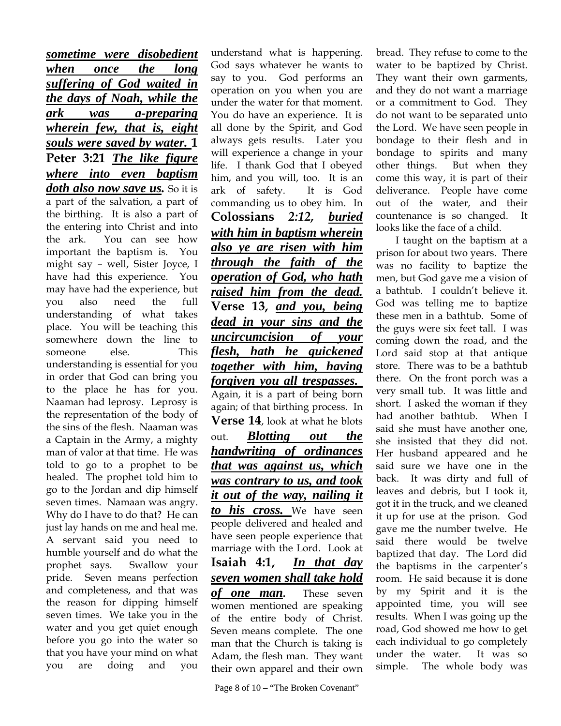*sometime were disobedient when once the long suffering of God waited in the days of Noah, while the ark was a-preparing wherein few, that is, eight souls were saved by water.* **1 Peter 3:21** *The like figure where into even baptism doth also now save us.* So it is a part of the salvation, a part of the birthing. It is also a part of the entering into Christ and into the ark. You can see how important the baptism is. You might say – well, Sister Joyce, I have had this experience. You may have had the experience, but you also need the full understanding of what takes place. You will be teaching this somewhere down the line to someone else. This understanding is essential for you in order that God can bring you to the place he has for you. Naaman had leprosy. Leprosy is the representation of the body of the sins of the flesh. Naaman was a Captain in the Army, a mighty man of valor at that time. He was told to go to a prophet to be healed. The prophet told him to go to the Jordan and dip himself seven times. Namaan was angry. Why do I have to do that? He can just lay hands on me and heal me. A servant said you need to humble yourself and do what the prophet says. Swallow your pride. Seven means perfection and completeness, and that was the reason for dipping himself seven times. We take you in the water and you get quiet enough before you go into the water so that you have your mind on what you are doing and you

understand what is happening. God says whatever he wants to say to you. God performs an operation on you when you are under the water for that moment. You do have an experience. It is all done by the Spirit, and God always gets results. Later you will experience a change in your life. I thank God that I obeyed him, and you will, too. It is an ark of safety. It is God commanding us to obey him. In **Colossians** *2:12, buried with him in baptism wherein also ye are risen with him through the faith of the operation of God, who hath raised him from the dead.* **Verse 13,** *and you, being dead in your sins and the uncircumcision of your flesh, hath he quickened together with him, having forgiven you all trespasses.* Again, it is a part of being born again; of that birthing process. In **Verse 14**, look at what he blots out. *Blotting out the handwriting of ordinances that was against us, which was contrary to us, and took it out of the way, nailing it to his cross.* We have seen people delivered and healed and have seen people experience that marriage with the Lord. Look at **Isaiah 4:1,** *In that day seven women shall take hold of one man***.** These seven women mentioned are speaking of the entire body of Christ. Seven means complete. The one man that the Church is taking is Adam, the flesh man. They want their own apparel and their own

bread. They refuse to come to the water to be baptized by Christ. They want their own garments, and they do not want a marriage or a commitment to God. They do not want to be separated unto the Lord. We have seen people in bondage to their flesh and in bondage to spirits and many other things. But when they come this way, it is part of their deliverance. People have come out of the water, and their countenance is so changed. It looks like the face of a child.

I taught on the baptism at a prison for about two years. There was no facility to baptize the men, but God gave me a vision of a bathtub. I couldn't believe it. God was telling me to baptize these men in a bathtub. Some of the guys were six feet tall. I was coming down the road, and the Lord said stop at that antique store. There was to be a bathtub there. On the front porch was a very small tub. It was little and short. I asked the woman if they had another bathtub. When I said she must have another one, she insisted that they did not. Her husband appeared and he said sure we have one in the back. It was dirty and full of leaves and debris, but I took it, got it in the truck, and we cleaned it up for use at the prison. God gave me the number twelve. He said there would be twelve baptized that day. The Lord did the baptisms in the carpenter's room. He said because it is done by my Spirit and it is the appointed time, you will see results. When I was going up the road, God showed me how to get each individual to go completely under the water. It was so simple. The whole body was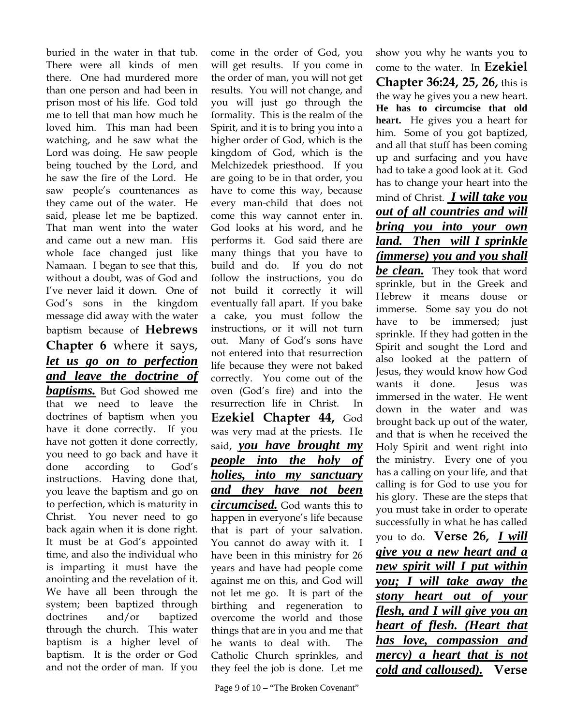buried in the water in that tub. There were all kinds of men there. One had murdered more than one person and had been in prison most of his life. God told me to tell that man how much he loved him. This man had been watching, and he saw what the Lord was doing. He saw people being touched by the Lord, and he saw the fire of the Lord. He saw people's countenances as they came out of the water. He said, please let me be baptized. That man went into the water and came out a new man. His whole face changed just like Namaan. I began to see that this, without a doubt, was of God and I've never laid it down. One of God's sons in the kingdom message did away with the water baptism because of **Hebrews Chapter 6** where it says, *let us go on to perfection and leave the doctrine of baptisms.* But God showed me that we need to leave the doctrines of baptism when you have it done correctly. If you have not gotten it done correctly, you need to go back and have it done according to God's instructions. Having done that, you leave the baptism and go on to perfection, which is maturity in Christ. You never need to go back again when it is done right. It must be at God's appointed time, and also the individual who is imparting it must have the anointing and the revelation of it. We have all been through the system; been baptized through doctrines and/or baptized through the church. This water baptism is a higher level of baptism. It is the order or God and not the order of man. If you

come in the order of God, you will get results. If you come in the order of man, you will not get results. You will not change, and you will just go through the formality. This is the realm of the Spirit, and it is to bring you into a higher order of God, which is the kingdom of God, which is the Melchizedek priesthood. If you are going to be in that order, you have to come this way, because every man-child that does not come this way cannot enter in. God looks at his word, and he performs it. God said there are many things that you have to build and do. If you do not follow the instructions, you do not build it correctly it will eventually fall apart. If you bake a cake, you must follow the instructions, or it will not turn out. Many of God's sons have not entered into that resurrection life because they were not baked correctly. You come out of the oven (God's fire) and into the resurrection life in Christ. In **Ezekiel Chapter 44,** God was very mad at the priests. He said, *you have brought my people into the holy of holies, into my sanctuary and they have not been circumcised.* God wants this to happen in everyone's life because that is part of your salvation. You cannot do away with it. I have been in this ministry for 26 years and have had people come against me on this, and God will not let me go. It is part of the birthing and regeneration to overcome the world and those things that are in you and me that he wants to deal with. The Catholic Church sprinkles, and they feel the job is done. Let me

show you why he wants you to come to the water. In **Ezekiel Chapter 36:24, 25, 26,** this is the way he gives you a new heart. **He has to circumcise that old heart.** He gives you a heart for him. Some of you got baptized, and all that stuff has been coming up and surfacing and you have had to take a good look at it. God has to change your heart into the mind of Christ. *I will take you out of all countries and will bring you into your own land. Then will I sprinkle (immerse) you and you shall be clean.* They took that word sprinkle, but in the Greek and Hebrew it means douse or immerse. Some say you do not have to be immersed; just sprinkle. If they had gotten in the Spirit and sought the Lord and also looked at the pattern of Jesus, they would know how God wants it done. Iesus was immersed in the water. He went down in the water and was brought back up out of the water, and that is when he received the Holy Spirit and went right into the ministry. Every one of you has a calling on your life, and that calling is for God to use you for his glory. These are the steps that you must take in order to operate successfully in what he has called you to do. **Verse 26,** *I will give you a new heart and a new spirit will I put within you; I will take away the stony heart out of your flesh, and I will give you an heart of flesh. (Heart that has love, compassion and mercy) a heart that is not cold and calloused).* **Verse**